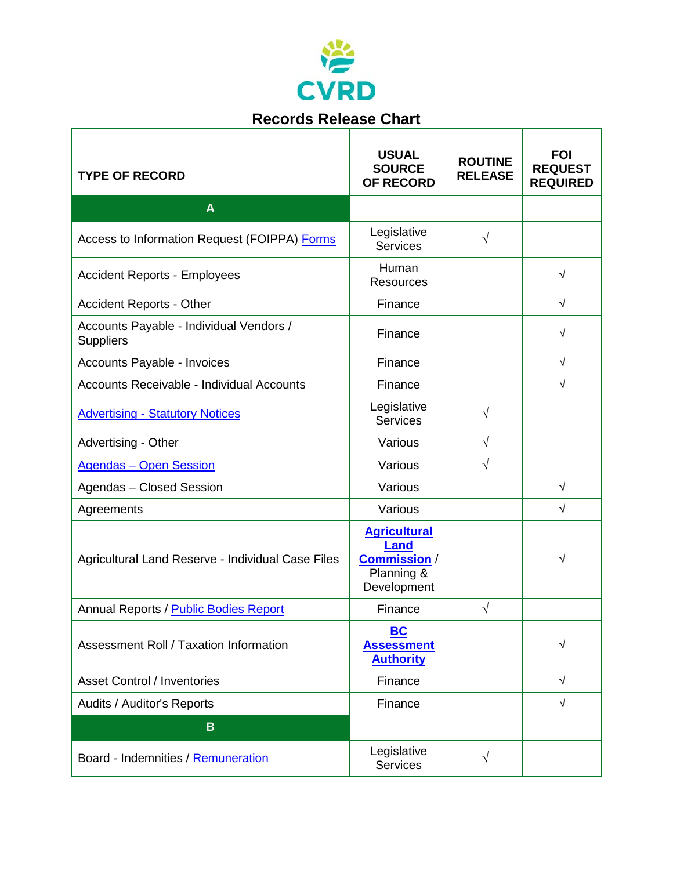

 $\Gamma$ 

| <b>Records Release Chart</b>                                |                                                                                       |                                  |                                                 |
|-------------------------------------------------------------|---------------------------------------------------------------------------------------|----------------------------------|-------------------------------------------------|
| <b>TYPE OF RECORD</b>                                       | <b>USUAL</b><br><b>SOURCE</b><br><b>OF RECORD</b>                                     | <b>ROUTINE</b><br><b>RELEASE</b> | <b>FOI</b><br><b>REQUEST</b><br><b>REQUIRED</b> |
| $\mathbf{A}$                                                |                                                                                       |                                  |                                                 |
| Access to Information Request (FOIPPA) Forms                | Legislative<br><b>Services</b>                                                        | $\sqrt{}$                        |                                                 |
| <b>Accident Reports - Employees</b>                         | Human<br><b>Resources</b>                                                             |                                  | V                                               |
| <b>Accident Reports - Other</b>                             | Finance                                                                               |                                  | $\sqrt{}$                                       |
| Accounts Payable - Individual Vendors /<br><b>Suppliers</b> | Finance                                                                               |                                  | V                                               |
| Accounts Payable - Invoices                                 | Finance                                                                               |                                  | $\sqrt{}$                                       |
| Accounts Receivable - Individual Accounts                   | Finance                                                                               |                                  | $\sqrt{}$                                       |
| <b>Advertising - Statutory Notices</b>                      | Legislative<br><b>Services</b>                                                        | $\sqrt{}$                        |                                                 |
| Advertising - Other                                         | Various                                                                               | $\sqrt{}$                        |                                                 |
| <b>Agendas - Open Session</b>                               | Various                                                                               | $\sqrt{}$                        |                                                 |
| Agendas - Closed Session                                    | Various                                                                               |                                  | $\sqrt{}$                                       |
| Agreements                                                  | Various                                                                               |                                  | $\sqrt{}$                                       |
| Agricultural Land Reserve - Individual Case Files           | <b>Agricultural</b><br><b>Land</b><br><b>Commission/</b><br>Planning &<br>Development |                                  | V                                               |
| Annual Reports / Public Bodies Report                       | Finance                                                                               | $\sqrt{}$                        |                                                 |
| Assessment Roll / Taxation Information                      | BC<br><b>Assessment</b><br><b>Authority</b>                                           |                                  | $\sqrt{}$                                       |
| <b>Asset Control / Inventories</b>                          | Finance                                                                               |                                  | V                                               |
| Audits / Auditor's Reports                                  | Finance                                                                               |                                  | $\sqrt{}$                                       |
| $\mathbf B$                                                 |                                                                                       |                                  |                                                 |
| Board - Indemnities / Remuneration                          | Legislative<br><b>Services</b>                                                        | $\sqrt{}$                        |                                                 |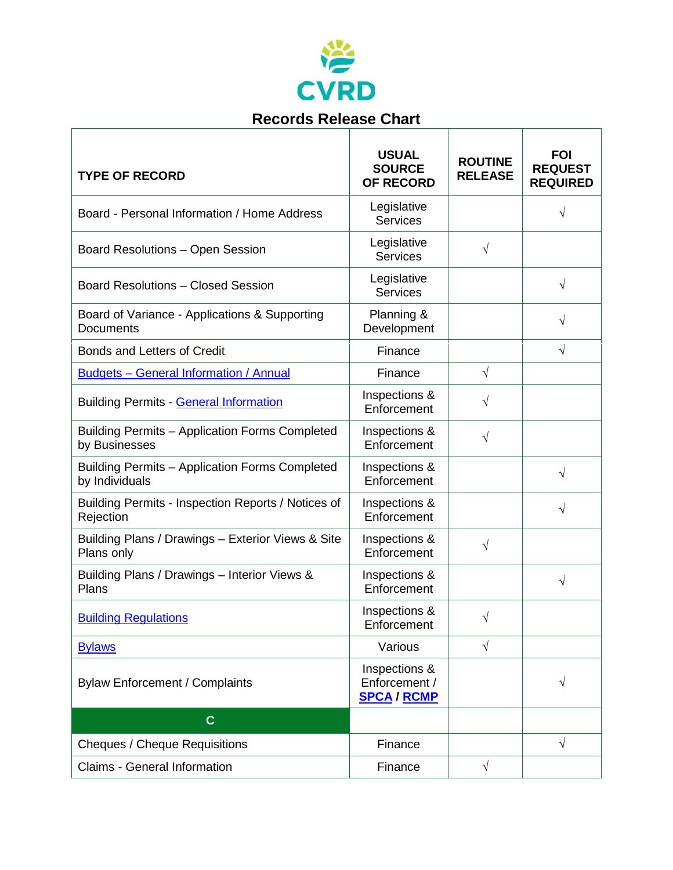

| <b>TYPE OF RECORD</b>                                             | <b>USUAL</b><br><b>SOURCE</b><br><b>OF RECORD</b>    | <b>ROUTINE</b><br><b>RELEASE</b> | <b>FOI</b><br><b>REQUEST</b><br><b>REQUIRED</b> |
|-------------------------------------------------------------------|------------------------------------------------------|----------------------------------|-------------------------------------------------|
| Board - Personal Information / Home Address                       | Legislative<br><b>Services</b>                       |                                  | V                                               |
| Board Resolutions - Open Session                                  | Legislative<br><b>Services</b>                       | $\sqrt{}$                        |                                                 |
| <b>Board Resolutions - Closed Session</b>                         | Legislative<br><b>Services</b>                       |                                  | $\sqrt{}$                                       |
| Board of Variance - Applications & Supporting<br><b>Documents</b> | Planning &<br>Development                            |                                  | V                                               |
| Bonds and Letters of Credit                                       | Finance                                              |                                  | $\sqrt{}$                                       |
| <b>Budgets - General Information / Annual</b>                     | Finance                                              | $\sqrt{ }$                       |                                                 |
| <b>Building Permits - General Information</b>                     | Inspections &<br>Enforcement                         | $\sqrt{}$                        |                                                 |
| Building Permits - Application Forms Completed<br>by Businesses   | Inspections &<br>Enforcement                         | $\sqrt{}$                        |                                                 |
| Building Permits - Application Forms Completed<br>by Individuals  | Inspections &<br>Enforcement                         |                                  | V                                               |
| Building Permits - Inspection Reports / Notices of<br>Rejection   | Inspections &<br>Enforcement                         |                                  | $\sqrt{}$                                       |
| Building Plans / Drawings - Exterior Views & Site<br>Plans only   | Inspections &<br>Enforcement                         | $\sqrt{}$                        |                                                 |
| Building Plans / Drawings - Interior Views &<br>Plans             | Inspections &<br>Enforcement                         |                                  | V                                               |
| <b>Building Regulations</b>                                       | Inspections &<br>Enforcement                         | $\sqrt{}$                        |                                                 |
| <b>Bylaws</b>                                                     | Various                                              | $\sqrt{2}$                       |                                                 |
| <b>Bylaw Enforcement / Complaints</b>                             | Inspections &<br>Enforcement /<br><b>SPCA / RCMP</b> |                                  | $\sqrt{}$                                       |
| $\mathbf{C}$                                                      |                                                      |                                  |                                                 |
| <b>Cheques / Cheque Requisitions</b>                              | Finance                                              |                                  | $\sqrt{}$                                       |
| Claims - General Information                                      | Finance                                              | $\sqrt{2}$                       |                                                 |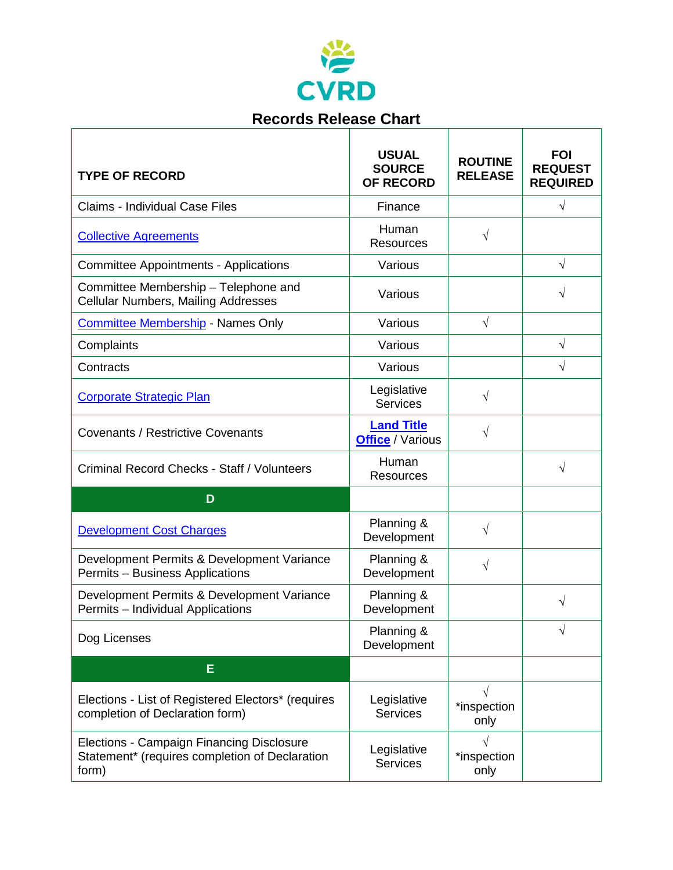

| <b>Records Release Chart</b>                                                                         |                                                   |                                   |                                                 |
|------------------------------------------------------------------------------------------------------|---------------------------------------------------|-----------------------------------|-------------------------------------------------|
| <b>TYPE OF RECORD</b>                                                                                | <b>USUAL</b><br><b>SOURCE</b><br><b>OF RECORD</b> | <b>ROUTINE</b><br><b>RELEASE</b>  | <b>FOI</b><br><b>REQUEST</b><br><b>REQUIRED</b> |
| <b>Claims - Individual Case Files</b>                                                                | Finance                                           |                                   | $\sqrt{}$                                       |
| <b>Collective Agreements</b>                                                                         | Human<br><b>Resources</b>                         | $\sqrt{}$                         |                                                 |
| <b>Committee Appointments - Applications</b>                                                         | Various                                           |                                   | $\sqrt{}$                                       |
| Committee Membership - Telephone and<br>Cellular Numbers, Mailing Addresses                          | Various                                           |                                   | V                                               |
| <b>Committee Membership - Names Only</b>                                                             | Various                                           | $\sqrt{}$                         |                                                 |
| Complaints                                                                                           | Various                                           |                                   | $\sqrt{}$                                       |
| Contracts                                                                                            | Various                                           |                                   | $\sqrt{}$                                       |
| <b>Corporate Strategic Plan</b>                                                                      | Legislative<br><b>Services</b>                    | $\sqrt{}$                         |                                                 |
| <b>Covenants / Restrictive Covenants</b>                                                             | <b>Land Title</b><br><b>Office</b> / Various      | $\sqrt{}$                         |                                                 |
| Criminal Record Checks - Staff / Volunteers                                                          | Human<br><b>Resources</b>                         |                                   | $\sqrt{}$                                       |
| D                                                                                                    |                                                   |                                   |                                                 |
| <b>Development Cost Charges</b>                                                                      | Planning &<br>Development                         | $\sqrt{}$                         |                                                 |
| Development Permits & Development Variance<br>Permits - Business Applications                        | Planning &<br>Development                         | $\sqrt{}$                         |                                                 |
| Development Permits & Development Variance<br>Permits - Individual Applications                      | Planning &<br>Development                         |                                   | $\sqrt{}$                                       |
| Dog Licenses                                                                                         | Planning &<br>Development                         |                                   | $\sqrt{}$                                       |
| Е                                                                                                    |                                                   |                                   |                                                 |
| Elections - List of Registered Electors* (requires<br>completion of Declaration form)                | Legislative<br>Services                           | $\sqrt{ }$<br>*inspection<br>only |                                                 |
| Elections - Campaign Financing Disclosure<br>Statement* (requires completion of Declaration<br>form) | Legislative<br><b>Services</b>                    | $\sqrt{}$<br>*inspection<br>only  |                                                 |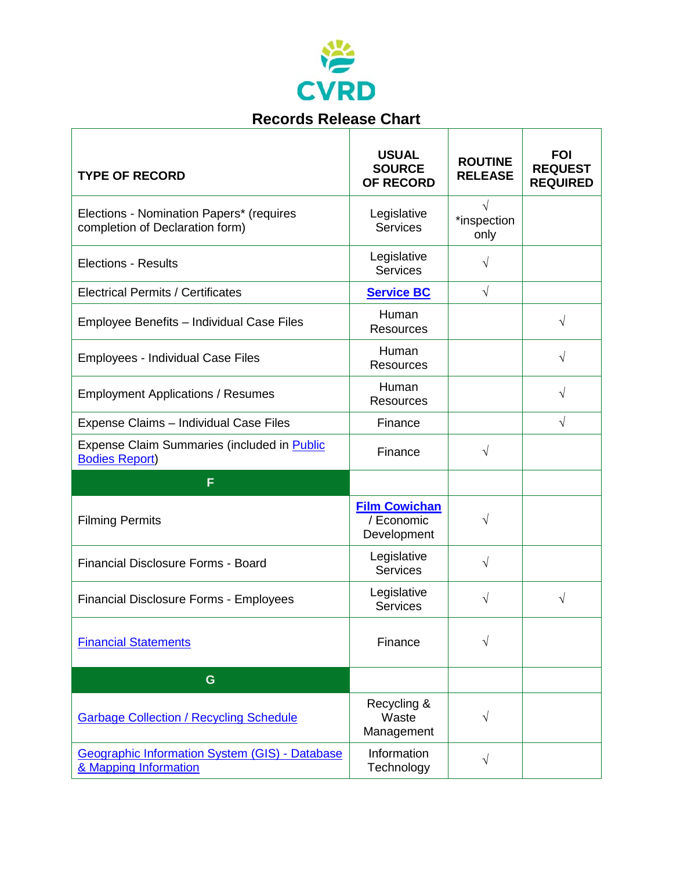

| <b>Records Release Chart</b>                                                   |                                                   |                                  |                                                 |
|--------------------------------------------------------------------------------|---------------------------------------------------|----------------------------------|-------------------------------------------------|
| <b>TYPE OF RECORD</b>                                                          | <b>USUAL</b><br><b>SOURCE</b><br><b>OF RECORD</b> | <b>ROUTINE</b><br><b>RELEASE</b> | <b>FOI</b><br><b>REQUEST</b><br><b>REQUIRED</b> |
| Elections - Nomination Papers* (requires<br>completion of Declaration form)    | Legislative<br><b>Services</b>                    | $\sqrt{}$<br>*inspection<br>only |                                                 |
| <b>Elections - Results</b>                                                     | Legislative<br><b>Services</b>                    | $\sqrt{ }$                       |                                                 |
| <b>Electrical Permits / Certificates</b>                                       | <b>Service BC</b>                                 | $\sqrt{ }$                       |                                                 |
| Employee Benefits - Individual Case Files                                      | Human<br><b>Resources</b>                         |                                  | √                                               |
| <b>Employees - Individual Case Files</b>                                       | Human<br><b>Resources</b>                         |                                  | V                                               |
| <b>Employment Applications / Resumes</b>                                       | Human<br><b>Resources</b>                         |                                  | √                                               |
| Expense Claims - Individual Case Files                                         | Finance                                           |                                  | $\sqrt{}$                                       |
| <b>Expense Claim Summaries (included in Public</b><br><b>Bodies Report)</b>    | Finance                                           | $\sqrt{}$                        |                                                 |
| F                                                                              |                                                   |                                  |                                                 |
| <b>Filming Permits</b>                                                         | <b>Film Cowichan</b><br>/ Economic<br>Development | $\sqrt{}$                        |                                                 |
| <b>Financial Disclosure Forms - Board</b>                                      | Legislative<br><b>Services</b>                    | $\sqrt{}$                        |                                                 |
| <b>Financial Disclosure Forms - Employees</b>                                  | Legislative<br><b>Services</b>                    | $\sqrt{}$                        | V                                               |
| <b>Financial Statements</b>                                                    | Finance                                           | $\sqrt{}$                        |                                                 |
| G                                                                              |                                                   |                                  |                                                 |
| <b>Garbage Collection / Recycling Schedule</b>                                 | Recycling &<br>Waste<br>Management                | V                                |                                                 |
| <b>Geographic Information System (GIS) - Database</b><br>& Mapping Information | Information<br>Technology                         | $\sqrt{}$                        |                                                 |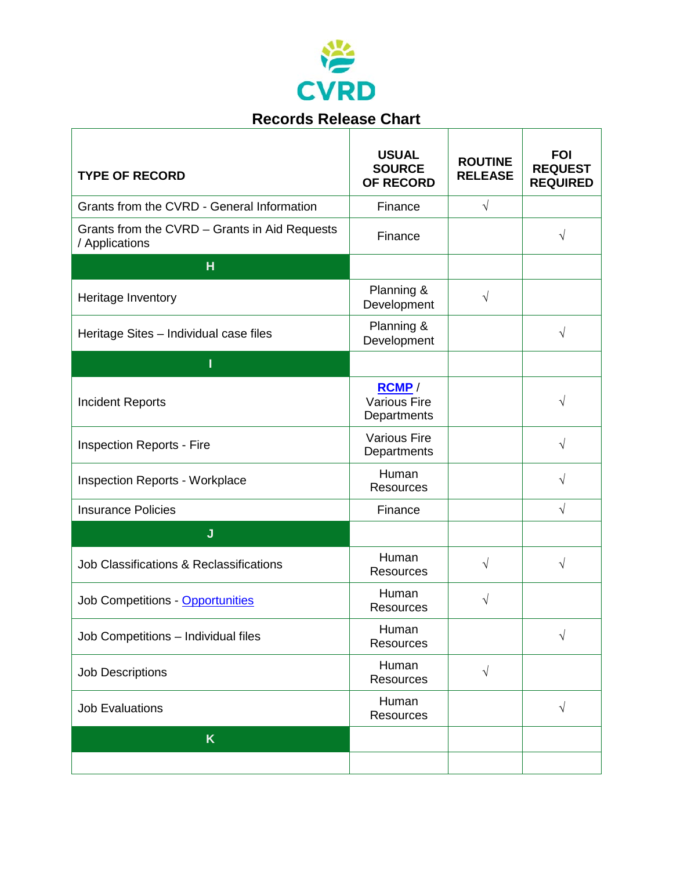

 $\overline{\mathbb{R}}$ 

| <b>TYPE OF RECORD</b>                                           | <b>USUAL</b><br><b>SOURCE</b><br><b>OF RECORD</b> | <b>ROUTINE</b><br><b>RELEASE</b> | <b>FOI</b><br><b>REQUEST</b><br><b>REQUIRED</b> |
|-----------------------------------------------------------------|---------------------------------------------------|----------------------------------|-------------------------------------------------|
| Grants from the CVRD - General Information                      | Finance                                           | $\sqrt{}$                        |                                                 |
| Grants from the CVRD – Grants in Aid Requests<br>/ Applications | Finance                                           |                                  | V                                               |
| H                                                               |                                                   |                                  |                                                 |
| Heritage Inventory                                              | Planning &<br>Development                         | $\sqrt{}$                        |                                                 |
| Heritage Sites - Individual case files                          | Planning &<br>Development                         |                                  | V                                               |
| ı                                                               |                                                   |                                  |                                                 |
| <b>Incident Reports</b>                                         | RCMP/<br><b>Various Fire</b><br>Departments       |                                  | V                                               |
| <b>Inspection Reports - Fire</b>                                | <b>Various Fire</b><br>Departments                |                                  | V                                               |
| <b>Inspection Reports - Workplace</b>                           | Human<br><b>Resources</b>                         |                                  | V                                               |
| <b>Insurance Policies</b>                                       | Finance                                           |                                  | $\sqrt{}$                                       |
| J                                                               |                                                   |                                  |                                                 |
| Job Classifications & Reclassifications                         | Human<br><b>Resources</b>                         | $\sqrt{ }$                       | V                                               |
| Job Competitions - Opportunities                                | Human<br><b>Resources</b>                         | N                                |                                                 |
| Job Competitions - Individual files                             | Human<br>Resources                                |                                  | V                                               |
| <b>Job Descriptions</b>                                         | Human<br>Resources                                | $\sqrt{ }$                       |                                                 |
| <b>Job Evaluations</b>                                          | Human<br>Resources                                |                                  | $\sqrt{}$                                       |
| K                                                               |                                                   |                                  |                                                 |
|                                                                 |                                                   |                                  |                                                 |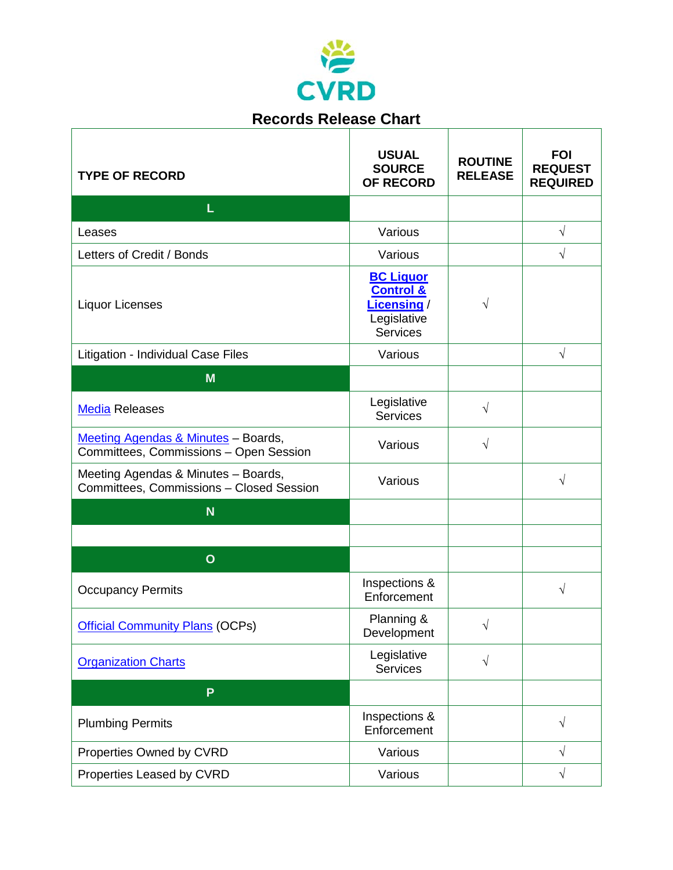

 $\Gamma$ 

| <b>Records Release Chart</b>                                                    |                                                                                           |                                  |                                                 |
|---------------------------------------------------------------------------------|-------------------------------------------------------------------------------------------|----------------------------------|-------------------------------------------------|
| <b>TYPE OF RECORD</b>                                                           | <b>USUAL</b><br><b>SOURCE</b><br><b>OF RECORD</b>                                         | <b>ROUTINE</b><br><b>RELEASE</b> | <b>FOI</b><br><b>REQUEST</b><br><b>REQUIRED</b> |
| L                                                                               |                                                                                           |                                  |                                                 |
| Leases                                                                          | Various                                                                                   |                                  | $\sqrt{ }$                                      |
| Letters of Credit / Bonds                                                       | Various                                                                                   |                                  | $\sqrt{}$                                       |
| <b>Liquor Licenses</b>                                                          | <b>BC Liquor</b><br><b>Control &amp;</b><br>Licensing /<br>Legislative<br><b>Services</b> | V                                |                                                 |
| Litigation - Individual Case Files                                              | Various                                                                                   |                                  | $\sqrt{ }$                                      |
| M                                                                               |                                                                                           |                                  |                                                 |
| <b>Media Releases</b>                                                           | Legislative<br><b>Services</b>                                                            | $\sqrt{}$                        |                                                 |
| Meeting Agendas & Minutes - Boards,<br>Committees, Commissions - Open Session   | Various                                                                                   | $\sqrt{}$                        |                                                 |
| Meeting Agendas & Minutes - Boards,<br>Committees, Commissions - Closed Session | Various                                                                                   |                                  | $\sqrt{}$                                       |
| <b>N</b>                                                                        |                                                                                           |                                  |                                                 |
|                                                                                 |                                                                                           |                                  |                                                 |
| $\mathbf O$                                                                     |                                                                                           |                                  |                                                 |
| <b>Occupancy Permits</b>                                                        | Inspections &<br>Enforcement                                                              |                                  | V                                               |
| <b>Official Community Plans (OCPs)</b>                                          | Planning &<br>Development                                                                 | $\sqrt{}$                        |                                                 |
| <b>Organization Charts</b>                                                      | Legislative<br><b>Services</b>                                                            | $\sqrt{}$                        |                                                 |
| P                                                                               |                                                                                           |                                  |                                                 |
| <b>Plumbing Permits</b>                                                         | Inspections &<br>Enforcement                                                              |                                  | V                                               |
| Properties Owned by CVRD                                                        | Various                                                                                   |                                  | V                                               |
| Properties Leased by CVRD                                                       | Various                                                                                   |                                  | $\sqrt{}$                                       |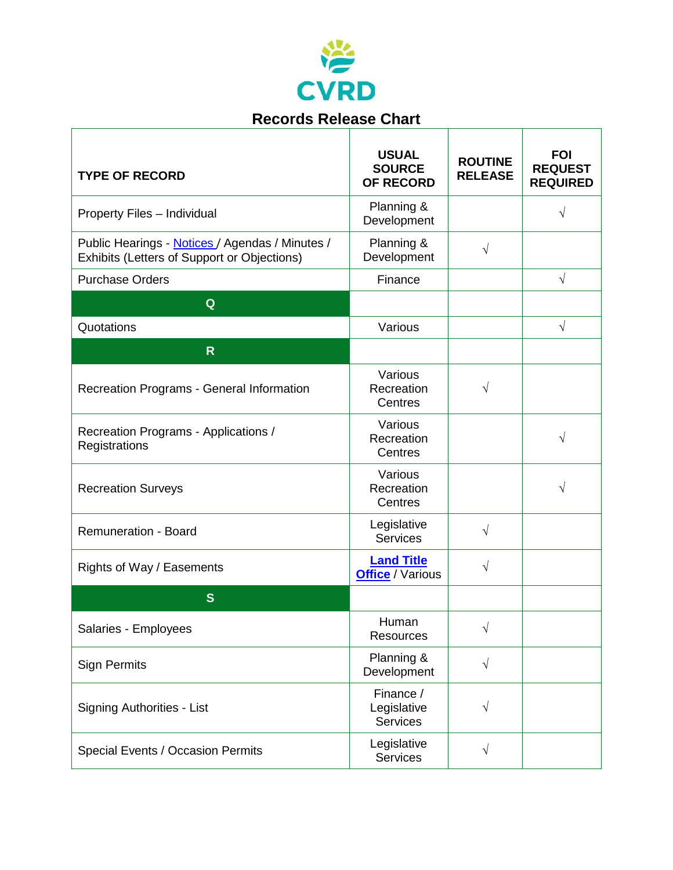

 $\Gamma$ 

| <b>Records Release Chart</b>                                                                   |                                                   |                                  |                                                 |
|------------------------------------------------------------------------------------------------|---------------------------------------------------|----------------------------------|-------------------------------------------------|
| <b>TYPE OF RECORD</b>                                                                          | <b>USUAL</b><br><b>SOURCE</b><br><b>OF RECORD</b> | <b>ROUTINE</b><br><b>RELEASE</b> | <b>FOI</b><br><b>REQUEST</b><br><b>REQUIRED</b> |
| Property Files - Individual                                                                    | Planning &<br>Development                         |                                  | V                                               |
| Public Hearings - Notices / Agendas / Minutes /<br>Exhibits (Letters of Support or Objections) | Planning &<br>Development                         | $\sqrt{}$                        |                                                 |
| <b>Purchase Orders</b>                                                                         | Finance                                           |                                  | $\sqrt{}$                                       |
| Q                                                                                              |                                                   |                                  |                                                 |
| Quotations                                                                                     | Various                                           |                                  | $\sqrt{}$                                       |
| $\mathsf{R}$                                                                                   |                                                   |                                  |                                                 |
| Recreation Programs - General Information                                                      | Various<br>Recreation<br>Centres                  | V                                |                                                 |
| Recreation Programs - Applications /<br>Registrations                                          | Various<br>Recreation<br>Centres                  |                                  | V                                               |
| <b>Recreation Surveys</b>                                                                      | Various<br>Recreation<br>Centres                  |                                  | V                                               |
| <b>Remuneration - Board</b>                                                                    | Legislative<br><b>Services</b>                    | $\sqrt{}$                        |                                                 |
| Rights of Way / Easements                                                                      | <b>Land Title</b><br><b>Office</b> / Various      | $\sqrt{}$                        |                                                 |
| S                                                                                              |                                                   |                                  |                                                 |
| Salaries - Employees                                                                           | Human<br><b>Resources</b>                         | $\sqrt{}$                        |                                                 |
| <b>Sign Permits</b>                                                                            | Planning &<br>Development                         | $\sqrt{}$                        |                                                 |
| <b>Signing Authorities - List</b>                                                              | Finance /<br>Legislative<br><b>Services</b>       | V                                |                                                 |
| Special Events / Occasion Permits                                                              | Legislative<br><b>Services</b>                    | $\sqrt{}$                        |                                                 |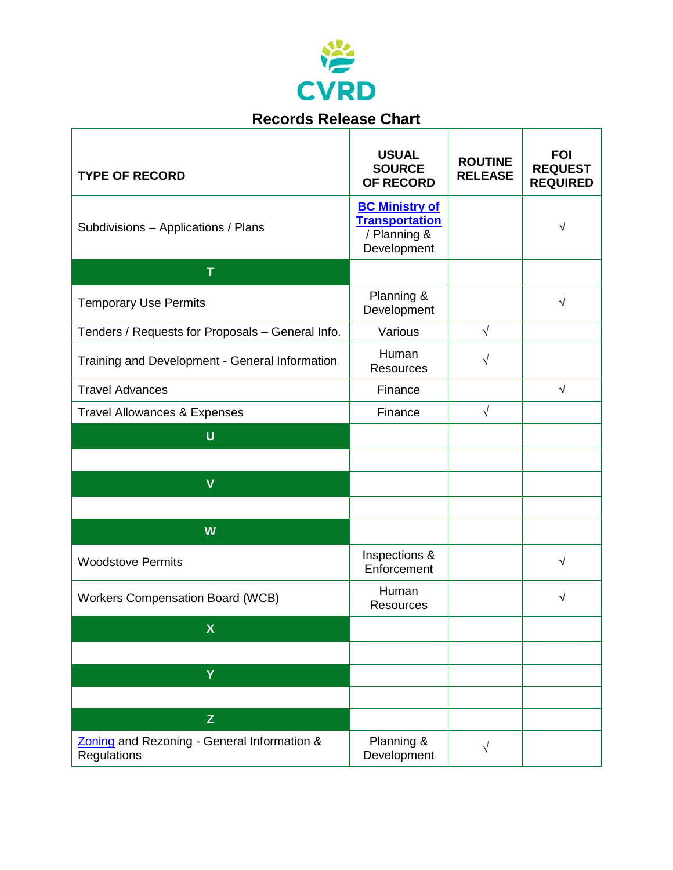

 $\overline{\mathbb{R}}$ 

| <b>TYPE OF RECORD</b>                                      | <b>USUAL</b><br><b>SOURCE</b><br><b>OF RECORD</b>                             | <b>ROUTINE</b><br><b>RELEASE</b> | <b>FOI</b><br><b>REQUEST</b><br><b>REQUIRED</b> |
|------------------------------------------------------------|-------------------------------------------------------------------------------|----------------------------------|-------------------------------------------------|
| Subdivisions - Applications / Plans                        | <b>BC Ministry of</b><br><b>Transportation</b><br>/ Planning &<br>Development |                                  | V                                               |
| T                                                          |                                                                               |                                  |                                                 |
| <b>Temporary Use Permits</b>                               | Planning &<br>Development                                                     |                                  | √                                               |
| Tenders / Requests for Proposals - General Info.           | Various                                                                       | $\sqrt{ }$                       |                                                 |
| Training and Development - General Information             | Human<br><b>Resources</b>                                                     | V                                |                                                 |
| <b>Travel Advances</b>                                     | Finance                                                                       |                                  | $\sqrt{}$                                       |
| <b>Travel Allowances &amp; Expenses</b>                    | Finance                                                                       | $\sqrt{2}$                       |                                                 |
| $\mathbf U$                                                |                                                                               |                                  |                                                 |
|                                                            |                                                                               |                                  |                                                 |
| $\mathbf{V}$                                               |                                                                               |                                  |                                                 |
|                                                            |                                                                               |                                  |                                                 |
| W                                                          |                                                                               |                                  |                                                 |
| <b>Woodstove Permits</b>                                   | Inspections &<br>Enforcement                                                  |                                  | $\sqrt{}$                                       |
| <b>Workers Compensation Board (WCB)</b>                    | Human<br><b>Resources</b>                                                     |                                  | V                                               |
| $\boldsymbol{\mathsf{X}}$                                  |                                                                               |                                  |                                                 |
|                                                            |                                                                               |                                  |                                                 |
| Y                                                          |                                                                               |                                  |                                                 |
|                                                            |                                                                               |                                  |                                                 |
| $\mathsf{Z}$                                               |                                                                               |                                  |                                                 |
| Zoning and Rezoning - General Information &<br>Regulations | Planning &<br>Development                                                     | $\sqrt{ }$                       |                                                 |